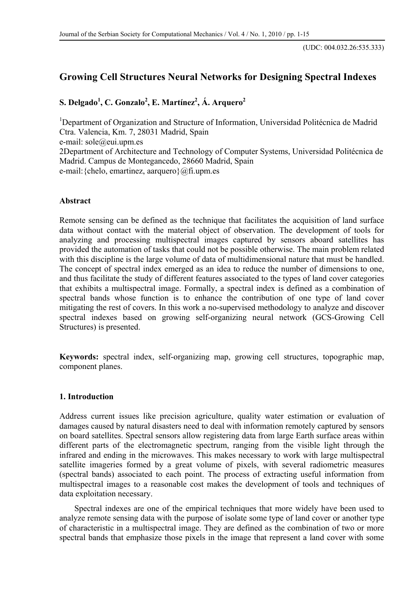# **Growing Cell Structures Neural Networks for Designing Spectral Indexes**

**S. Delgado<sup>1</sup> , C. Gonzalo<sup>2</sup> , E. Martínez2 , Á. Arquero<sup>2</sup>**

<sup>1</sup>Department of Organization and Structure of Information, Universidad Politécnica de Madrid Ctra. Valencia, Km. 7, 28031 Madrid, Spain e-mail: sole@eui.upm.es 2Department of Architecture and Technology of Computer Systems, Universidad Politécnica de Madrid. Campus de Montegancedo, 28660 Madrid, Spain e-mail:{chelo, emartinez, aarquero}@fi.upm.es

### **Abstract**

Remote sensing can be defined as the technique that facilitates the acquisition of land surface data without contact with the material object of observation. The development of tools for analyzing and processing multispectral images captured by sensors aboard satellites has provided the automation of tasks that could not be possible otherwise. The main problem related with this discipline is the large volume of data of multidimensional nature that must be handled. The concept of spectral index emerged as an idea to reduce the number of dimensions to one, and thus facilitate the study of different features associated to the types of land cover categories that exhibits a multispectral image. Formally, a spectral index is defined as a combination of spectral bands whose function is to enhance the contribution of one type of land cover mitigating the rest of covers. In this work a no-supervised methodology to analyze and discover spectral indexes based on growing self-organizing neural network (GCS-Growing Cell Structures) is presented.

**Keywords:** spectral index, self-organizing map, growing cell structures, topographic map, component planes.

### **1. Introduction**

Address current issues like precision agriculture, quality water estimation or evaluation of damages caused by natural disasters need to deal with information remotely captured by sensors on board satellites. Spectral sensors allow registering data from large Earth surface areas within different parts of the electromagnetic spectrum, ranging from the visible light through the infrared and ending in the microwaves. This makes necessary to work with large multispectral satellite imageries formed by a great volume of pixels, with several radiometric measures (spectral bands) associated to each point. The process of extracting useful information from multispectral images to a reasonable cost makes the development of tools and techniques of data exploitation necessary.

Spectral indexes are one of the empirical techniques that more widely have been used to analyze remote sensing data with the purpose of isolate some type of land cover or another type of characteristic in a multispectral image. They are defined as the combination of two or more spectral bands that emphasize those pixels in the image that represent a land cover with some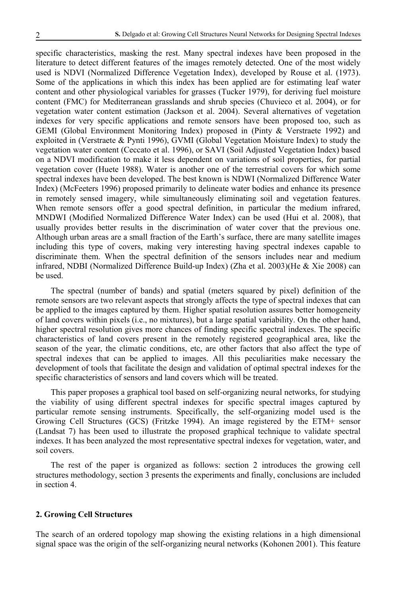specific characteristics, masking the rest. Many spectral indexes have been proposed in the literature to detect different features of the images remotely detected. One of the most widely used is NDVI (Normalized Difference Vegetation Index), developed by Rouse et al. (1973). Some of the applications in which this index has been applied are for estimating leaf water content and other physiological variables for grasses (Tucker 1979), for deriving fuel moisture content (FMC) for Mediterranean grasslands and shrub species (Chuvieco et al. 2004), or for vegetation water content estimation (Jackson et al. 2004). Several alternatives of vegetation indexes for very specific applications and remote sensors have been proposed too, such as GEMI (Global Environment Monitoring Index) proposed in (Pinty & Verstraete 1992) and exploited in (Verstraete & Pynti 1996), GVMI (Global Vegetation Moisture Index) to study the vegetation water content (Ceccato et al. 1996), or SAVI (Soil Adjusted Vegetation Index) based on a NDVI modification to make it less dependent on variations of soil properties, for partial vegetation cover (Huete 1988). Water is another one of the terrestrial covers for which some spectral indexes have been developed. The best known is NDWI (Normalized Difference Water Index) (McFeeters 1996) proposed primarily to delineate water bodies and enhance its presence in remotely sensed imagery, while simultaneously eliminating soil and vegetation features. When remote sensors offer a good spectral definition, in particular the medium infrared, MNDWI (Modified Normalized Difference Water Index) can be used (Hui et al. 2008), that usually provides better results in the discrimination of water cover that the previous one. Although urban areas are a small fraction of the Earth's surface, there are many satellite images including this type of covers, making very interesting having spectral indexes capable to discriminate them. When the spectral definition of the sensors includes near and medium infrared, NDBI (Normalized Difference Build-up Index) (Zha et al. 2003)(He & Xie 2008) can be used.

The spectral (number of bands) and spatial (meters squared by pixel) definition of the remote sensors are two relevant aspects that strongly affects the type of spectral indexes that can be applied to the images captured by them. Higher spatial resolution assures better homogeneity of land covers within pixels (i.e., no mixtures), but a large spatial variability. On the other hand, higher spectral resolution gives more chances of finding specific spectral indexes. The specific characteristics of land covers present in the remotely registered geographical area, like the season of the year, the climatic conditions, etc, are other factors that also affect the type of spectral indexes that can be applied to images. All this peculiarities make necessary the development of tools that facilitate the design and validation of optimal spectral indexes for the specific characteristics of sensors and land covers which will be treated.

This paper proposes a graphical tool based on self-organizing neural networks, for studying the viability of using different spectral indexes for specific spectral images captured by particular remote sensing instruments. Specifically, the self-organizing model used is the Growing Cell Structures (GCS) (Fritzke 1994). An image registered by the ETM+ sensor (Landsat 7) has been used to illustrate the proposed graphical technique to validate spectral indexes. It has been analyzed the most representative spectral indexes for vegetation, water, and soil covers.

The rest of the paper is organized as follows: section 2 introduces the growing cell structures methodology, section 3 presents the experiments and finally, conclusions are included in section 4.

#### **2. Growing Cell Structures**

The search of an ordered topology map showing the existing relations in a high dimensional signal space was the origin of the self-organizing neural networks (Kohonen 2001). This feature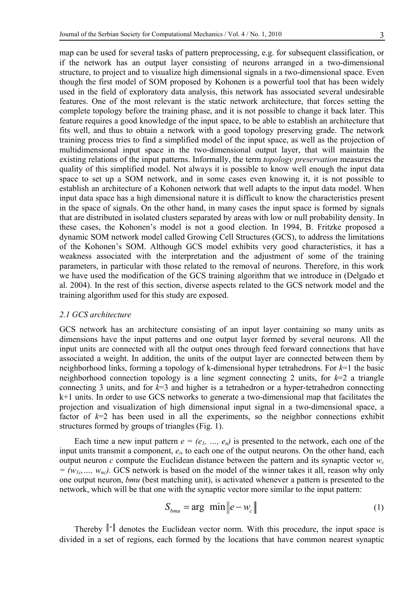map can be used for several tasks of pattern preprocessing, e.g. for subsequent classification, or if the network has an output layer consisting of neurons arranged in a two-dimensional structure, to project and to visualize high dimensional signals in a two-dimensional space. Even though the first model of SOM proposed by Kohonen is a powerful tool that has been widely used in the field of exploratory data analysis, this network has associated several undesirable features. One of the most relevant is the static network architecture, that forces setting the complete topology before the training phase, and it is not possible to change it back later. This feature requires a good knowledge of the input space, to be able to establish an architecture that fits well, and thus to obtain a network with a good topology preserving grade. The network training process tries to find a simplified model of the input space, as well as the projection of multidimensional input space in the two-dimensional output layer, that will maintain the existing relations of the input patterns. Informally, the term *topology preservation* measures the quality of this simplified model. Not always it is possible to know well enough the input data space to set up a SOM network, and in some cases even knowing it, it is not possible to establish an architecture of a Kohonen network that well adapts to the input data model. When input data space has a high dimensional nature it is difficult to know the characteristics present in the space of signals. On the other hand, in many cases the input space is formed by signals that are distributed in isolated clusters separated by areas with low or null probability density. In these cases, the Kohonen's model is not a good election. In 1994, B. Fritzke proposed a dynamic SOM network model called Growing Cell Structures (GCS), to address the limitations of the Kohonen's SOM. Although GCS model exhibits very good characteristics, it has a weakness associated with the interpretation and the adjustment of some of the training parameters, in particular with those related to the removal of neurons. Therefore, in this work we have used the modification of the GCS training algorithm that we introduce in (Delgado et al. 2004). In the rest of this section, diverse aspects related to the GCS network model and the training algorithm used for this study are exposed.

### *2.1 GCS architecture*

GCS network has an architecture consisting of an input layer containing so many units as dimensions have the input patterns and one output layer formed by several neurons. All the input units are connected with all the output ones through feed forward connections that have associated a weight. In addition, the units of the output layer are connected between them by neighborhood links, forming a topology of k-dimensional hyper tetrahedrons. For *k*=1 the basic neighborhood connection topology is a line segment connecting 2 units, for  $k=2$  a triangle connecting 3 units, and for *k*=3 and higher is a tetrahedron or a hyper-tetrahedron connecting k+1 units. In order to use GCS networks to generate a two-dimensional map that facilitates the projection and visualization of high dimensional input signal in a two-dimensional space, a factor of *k*=2 has been used in all the experiments, so the neighbor connections exhibit structures formed by groups of triangles (Fig. 1).

Each time a new input pattern  $e = (e_1, ..., e_n)$  is presented to the network, each one of the input units transmit a component, *ei*, to each one of the output neurons. On the other hand, each output neuron *c* compute the Euclidean distance between the pattern and its synaptic vector  $w_c$  $= (w_{1c}, ..., w_{nc})$ . GCS network is based on the model of the winner takes it all, reason why only one output neuron, *bmu* (best matching unit), is activated whenever a pattern is presented to the network, which will be that one with the synaptic vector more similar to the input pattern:

$$
S_{bmu} = \arg \ \min \|e - w_c\| \tag{1}
$$

Thereby  $\|\cdot\|$  denotes the Euclidean vector norm. With this procedure, the input space is divided in a set of regions, each formed by the locations that have common nearest synaptic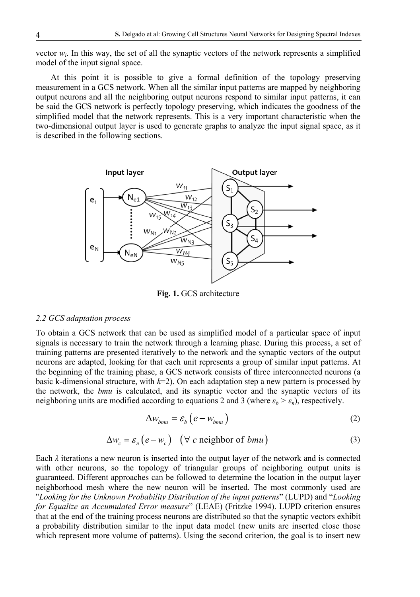vector  $w_i$ . In this way, the set of all the synaptic vectors of the network represents a simplified model of the input signal space.

At this point it is possible to give a formal definition of the topology preserving measurement in a GCS network. When all the similar input patterns are mapped by neighboring output neurons and all the neighboring output neurons respond to similar input patterns, it can be said the GCS network is perfectly topology preserving, which indicates the goodness of the simplified model that the network represents. This is a very important characteristic when the two-dimensional output layer is used to generate graphs to analyze the input signal space, as it is described in the following sections.



**Fig. 1.** GCS architecture

#### *2.2 GCS adaptation process*

To obtain a GCS network that can be used as simplified model of a particular space of input signals is necessary to train the network through a learning phase. During this process, a set of training patterns are presented iteratively to the network and the synaptic vectors of the output neurons are adapted, looking for that each unit represents a group of similar input patterns. At the beginning of the training phase, a GCS network consists of three interconnected neurons (a basic k-dimensional structure, with  $k=2$ ). On each adaptation step a new pattern is processed by the network, the *bmu* is calculated, and its synaptic vector and the synaptic vectors of its neighboring units are modified according to equations 2 and 3 (where  $\varepsilon_b > \varepsilon_n$ ), respectively.

$$
\Delta w_{bmu} = \varepsilon_b \left( e - w_{bmu} \right) \tag{2}
$$

$$
\Delta w_c = \varepsilon_n (e - w_c) \quad (\forall \ c \text{ neighbor of } bmu)
$$
 (3)

Each  $\lambda$  iterations a new neuron is inserted into the output layer of the network and is connected with other neurons, so the topology of triangular groups of neighboring output units is guaranteed. Different approaches can be followed to determine the location in the output layer neighborhood mesh where the new neuron will be inserted. The most commonly used are "*Looking for the Unknown Probability Distribution of the input patterns*" (LUPD) and "*Looking for Equalize an Accumulated Error measure*" (LEAE) (Fritzke 1994). LUPD criterion ensures that at the end of the training process neurons are distributed so that the synaptic vectors exhibit a probability distribution similar to the input data model (new units are inserted close those which represent more volume of patterns). Using the second criterion, the goal is to insert new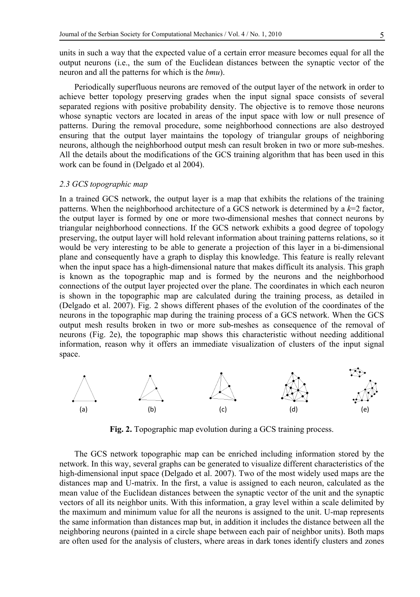units in such a way that the expected value of a certain error measure becomes equal for all the output neurons (i.e., the sum of the Euclidean distances between the synaptic vector of the neuron and all the patterns for which is the *bmu*).

Periodically superfluous neurons are removed of the output layer of the network in order to achieve better topology preserving grades when the input signal space consists of several separated regions with positive probability density. The objective is to remove those neurons whose synaptic vectors are located in areas of the input space with low or null presence of patterns. During the removal procedure, some neighborhood connections are also destroyed ensuring that the output layer maintains the topology of triangular groups of neighboring neurons, although the neighborhood output mesh can result broken in two or more sub-meshes. All the details about the modifications of the GCS training algorithm that has been used in this work can be found in (Delgado et al 2004).

### *2.3 GCS topographic map*

In a trained GCS network, the output layer is a map that exhibits the relations of the training patterns. When the neighborhood architecture of a GCS network is determined by a *k*=2 factor, the output layer is formed by one or more two-dimensional meshes that connect neurons by triangular neighborhood connections. If the GCS network exhibits a good degree of topology preserving, the output layer will hold relevant information about training patterns relations, so it would be very interesting to be able to generate a projection of this layer in a bi-dimensional plane and consequently have a graph to display this knowledge. This feature is really relevant when the input space has a high-dimensional nature that makes difficult its analysis. This graph is known as the topographic map and is formed by the neurons and the neighborhood connections of the output layer projected over the plane. The coordinates in which each neuron is shown in the topographic map are calculated during the training process, as detailed in (Delgado et al. 2007). Fig. 2 shows different phases of the evolution of the coordinates of the neurons in the topographic map during the training process of a GCS network. When the GCS output mesh results broken in two or more sub-meshes as consequence of the removal of neurons (Fig. 2e), the topographic map shows this characteristic without needing additional information, reason why it offers an immediate visualization of clusters of the input signal space.



**Fig. 2.** Topographic map evolution during a GCS training process.

The GCS network topographic map can be enriched including information stored by the network. In this way, several graphs can be generated to visualize different characteristics of the high-dimensional input space (Delgado et al. 2007). Two of the most widely used maps are the distances map and U-matrix. In the first, a value is assigned to each neuron, calculated as the mean value of the Euclidean distances between the synaptic vector of the unit and the synaptic vectors of all its neighbor units. With this information, a gray level within a scale delimited by the maximum and minimum value for all the neurons is assigned to the unit. U-map represents the same information than distances map but, in addition it includes the distance between all the neighboring neurons (painted in a circle shape between each pair of neighbor units). Both maps are often used for the analysis of clusters, where areas in dark tones identify clusters and zones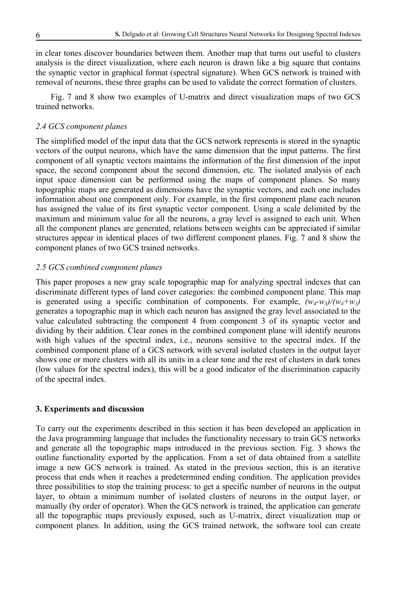in clear tones discover boundaries between them. Another map that turns out useful to clusters analysis is the direct visualization, where each neuron is drawn like a big square that contains the synaptic vector in graphical format (spectral signature). When GCS network is trained with removal of neurons, these three graphs can be used to validate the correct formation of clusters.

Fig. 7 and 8 show two examples of U-matrix and direct visualization maps of two GCS trained networks.

# *2.4 GCS component planes*

The simplified model of the input data that the GCS network represents is stored in the synaptic vectors of the output neurons, which have the same dimension that the input patterns. The first component of all synaptic vectors maintains the information of the first dimension of the input space, the second component about the second dimension, etc. The isolated analysis of each input space dimension can be performed using the maps of component planes. So many topographic maps are generated as dimensions have the synaptic vectors, and each one includes information about one component only. For example, in the first component plane each neuron has assigned the value of its first synaptic vector component. Using a scale delimited by the maximum and minimum value for all the neurons, a gray level is assigned to each unit. When all the component planes are generated, relations between weights can be appreciated if similar structures appear in identical places of two different component planes. Fig. 7 and 8 show the component planes of two GCS trained networks.

### *2.5 GCS combined component planes*

This paper proposes a new gray scale topographic map for analyzing spectral indexes that can discriminate different types of land cover categories: the combined component plane. This map is generated using a specific combination of components. For example,  $(w_4-w_3)/(w_4+w_3)$ generates a topographic map in which each neuron has assigned the gray level associated to the value calculated subtracting the component 4 from component 3 of its synaptic vector and dividing by their addition. Clear zones in the combined component plane will identify neurons with high values of the spectral index, i.e., neurons sensitive to the spectral index. If the combined component plane of a GCS network with several isolated clusters in the output layer shows one or more clusters with all its units in a clear tone and the rest of clusters in dark tones (low values for the spectral index), this will be a good indicator of the discrimination capacity of the spectral index.

### **3. Experiments and discussion**

To carry out the experiments described in this section it has been developed an application in the Java programming language that includes the functionality necessary to train GCS networks and generate all the topographic maps introduced in the previous section. Fig. 3 shows the outline functionality exported by the application. From a set of data obtained from a satellite image a new GCS network is trained. As stated in the previous section, this is an iterative process that ends when it reaches a predetermined ending condition. The application provides three possibilities to stop the training process: to get a specific number of neurons in the output layer, to obtain a minimum number of isolated clusters of neurons in the output layer, or manually (by order of operator). When the GCS network is trained, the application can generate all the topographic maps previously exposed, such as U-matrix, direct visualization map or component planes. In addition, using the GCS trained network, the software tool can create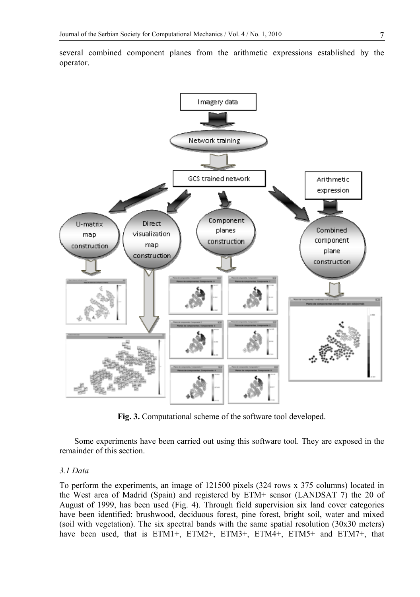

several combined component planes from the arithmetic expressions established by the operator.

**Fig. 3.** Computational scheme of the software tool developed.

Some experiments have been carried out using this software tool. They are exposed in the remainder of this section.

#### *3.1 Data*

To perform the experiments, an image of 121500 pixels (324 rows x 375 columns) located in the West area of Madrid (Spain) and registered by ETM+ sensor (LANDSAT 7) the 20 of August of 1999, has been used (Fig. 4). Through field supervision six land cover categories have been identified: brushwood, deciduous forest, pine forest, bright soil, water and mixed (soil with vegetation). The six spectral bands with the same spatial resolution (30x30 meters) have been used, that is ETM1+, ETM2+, ETM3+, ETM4+, ETM5+ and ETM7+, that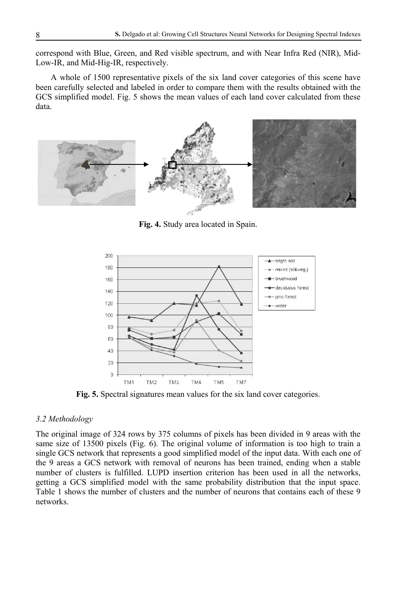correspond with Blue, Green, and Red visible spectrum, and with Near Infra Red (NIR), Mid-Low-IR, and Mid-Hig-IR, respectively.

A whole of 1500 representative pixels of the six land cover categories of this scene have been carefully selected and labeled in order to compare them with the results obtained with the GCS simplified model. Fig. 5 shows the mean values of each land cover calculated from these data.



**Fig. 4.** Study area located in Spain.



**Fig. 5.** Spectral signatures mean values for the six land cover categories.

# *3.2 Methodology*

The original image of 324 rows by 375 columns of pixels has been divided in 9 areas with the same size of 13500 pixels (Fig. 6). The original volume of information is too high to train a single GCS network that represents a good simplified model of the input data. With each one of the 9 areas a GCS network with removal of neurons has been trained, ending when a stable number of clusters is fulfilled. LUPD insertion criterion has been used in all the networks, getting a GCS simplified model with the same probability distribution that the input space. Table 1 shows the number of clusters and the number of neurons that contains each of these 9 networks.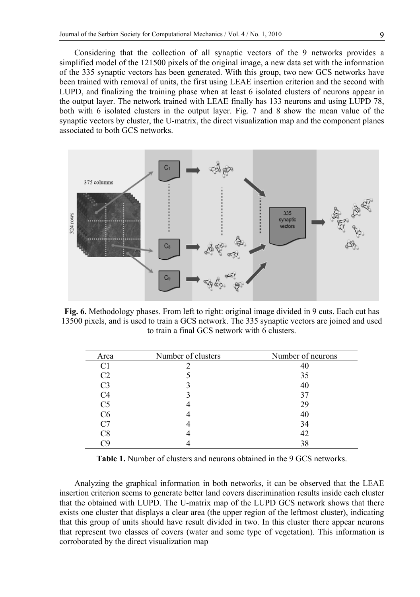Considering that the collection of all synaptic vectors of the 9 networks provides a simplified model of the 121500 pixels of the original image, a new data set with the information of the 335 synaptic vectors has been generated. With this group, two new GCS networks have been trained with removal of units, the first using LEAE insertion criterion and the second with LUPD, and finalizing the training phase when at least 6 isolated clusters of neurons appear in the output layer. The network trained with LEAE finally has 133 neurons and using LUPD 78, both with 6 isolated clusters in the output layer. Fig. 7 and 8 show the mean value of the synaptic vectors by cluster, the U-matrix, the direct visualization map and the component planes associated to both GCS networks.



**Fig. 6.** Methodology phases. From left to right: original image divided in 9 cuts. Each cut has 13500 pixels, and is used to train a GCS network. The 335 synaptic vectors are joined and used to train a final GCS network with 6 clusters.

| Area           | Number of clusters | Number of neurons |
|----------------|--------------------|-------------------|
| C <sub>1</sub> |                    |                   |
| C <sub>2</sub> |                    | 35                |
| C <sub>3</sub> |                    | 40                |
| C4             |                    | 37                |
| C <sub>5</sub> |                    | 29                |
| C6             |                    | 40                |
|                |                    | 34                |
| ි8             |                    | 42                |
|                |                    | 38                |

**Table 1.** Number of clusters and neurons obtained in the 9 GCS networks.

Analyzing the graphical information in both networks, it can be observed that the LEAE insertion criterion seems to generate better land covers discrimination results inside each cluster that the obtained with LUPD. The U-matrix map of the LUPD GCS network shows that there exists one cluster that displays a clear area (the upper region of the leftmost cluster), indicating that this group of units should have result divided in two. In this cluster there appear neurons that represent two classes of covers (water and some type of vegetation). This information is corroborated by the direct visualization map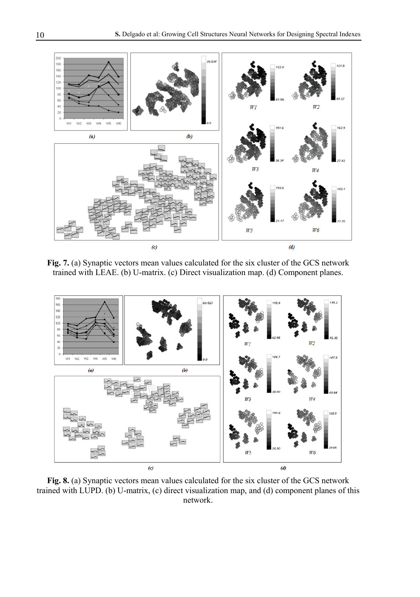

**Fig. 7.** (a) Synaptic vectors mean values calculated for the six cluster of the GCS network trained with LEAE. (b) U-matrix. (c) Direct visualization map. (d) Component planes.



**Fig. 8.** (a) Synaptic vectors mean values calculated for the six cluster of the GCS network trained with LUPD. (b) U-matrix, (c) direct visualization map, and (d) component planes of this network.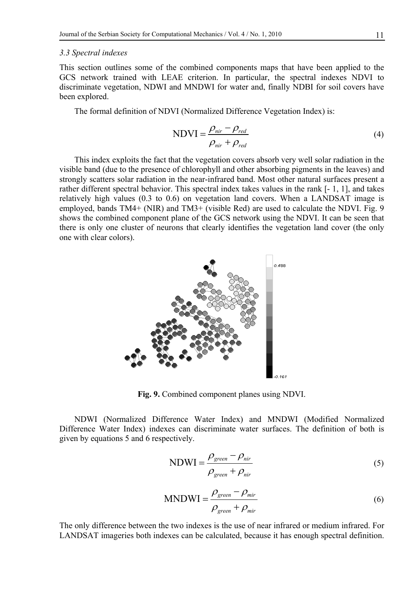#### *3.3 Spectral indexes*

This section outlines some of the combined components maps that have been applied to the GCS network trained with LEAE criterion. In particular, the spectral indexes NDVI to discriminate vegetation, NDWI and MNDWI for water and, finally NDBI for soil covers have been explored.

The formal definition of NDVI (Normalized Difference Vegetation Index) is:

$$
NDVI = \frac{\rho_{nir} - \rho_{red}}{\rho_{nir} + \rho_{red}}
$$
\n(4)

This index exploits the fact that the vegetation covers absorb very well solar radiation in the visible band (due to the presence of chlorophyll and other absorbing pigments in the leaves) and strongly scatters solar radiation in the near-infrared band. Most other natural surfaces present a rather different spectral behavior. This spectral index takes values in the rank [- 1, 1], and takes relatively high values (0.3 to 0.6) on vegetation land covers. When a LANDSAT image is employed, bands TM4+ (NIR) and TM3+ (visible Red) are used to calculate the NDVI. Fig. 9 shows the combined component plane of the GCS network using the NDVI. It can be seen that there is only one cluster of neurons that clearly identifies the vegetation land cover (the only one with clear colors).



**Fig. 9.** Combined component planes using NDVI.

NDWI (Normalized Difference Water Index) and MNDWI (Modified Normalized Difference Water Index) indexes can discriminate water surfaces. The definition of both is given by equations 5 and 6 respectively.

$$
NDWI = \frac{\rho_{green} - \rho_{nir}}{\rho_{green} + \rho_{nir}}
$$
\n(5)

$$
MNDWI = \frac{\rho_{green} - \rho_{mir}}{\rho_{green} + \rho_{mir}} \tag{6}
$$

The only difference between the two indexes is the use of near infrared or medium infrared. For LANDSAT imageries both indexes can be calculated, because it has enough spectral definition.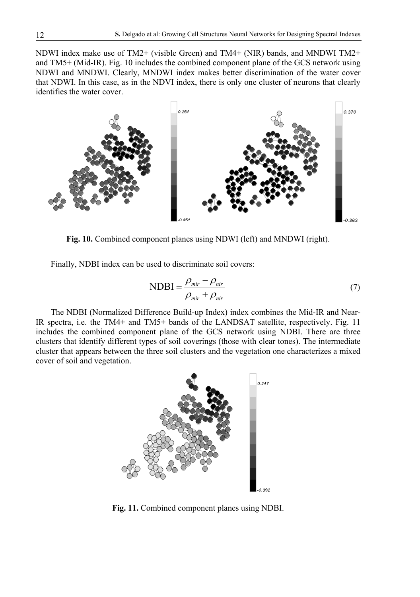NDWI index make use of TM2+ (visible Green) and TM4+ (NIR) bands, and MNDWI TM2+ and TM5+ (Mid-IR). Fig. 10 includes the combined component plane of the GCS network using NDWI and MNDWI. Clearly, MNDWI index makes better discrimination of the water cover that NDWI. In this case, as in the NDVI index, there is only one cluster of neurons that clearly identifies the water cover.



**Fig. 10.** Combined component planes using NDWI (left) and MNDWI (right).

Finally, NDBI index can be used to discriminate soil covers:

$$
NDBI = \frac{\rho_{mir} - \rho_{hir}}{\rho_{mir} + \rho_{hir}}
$$
\n(7)

The NDBI (Normalized Difference Build-up Index) index combines the Mid-IR and Near-IR spectra, i.e. the TM4+ and TM5+ bands of the LANDSAT satellite, respectively. Fig. 11 includes the combined component plane of the GCS network using NDBI. There are three clusters that identify different types of soil coverings (those with clear tones). The intermediate cluster that appears between the three soil clusters and the vegetation one characterizes a mixed cover of soil and vegetation.



**Fig. 11.** Combined component planes using NDBI.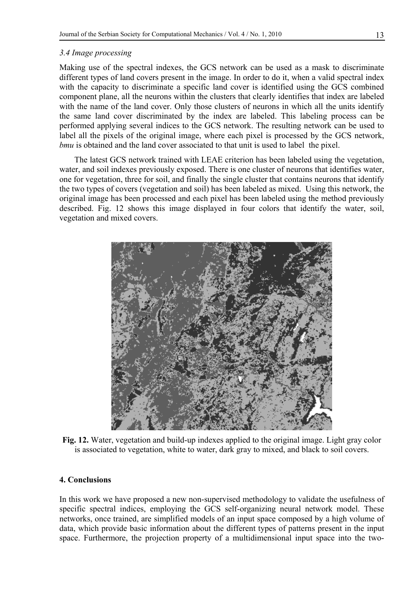### *3.4 Image processing*

Making use of the spectral indexes, the GCS network can be used as a mask to discriminate different types of land covers present in the image. In order to do it, when a valid spectral index with the capacity to discriminate a specific land cover is identified using the GCS combined component plane, all the neurons within the clusters that clearly identifies that index are labeled with the name of the land cover. Only those clusters of neurons in which all the units identify the same land cover discriminated by the index are labeled. This labeling process can be performed applying several indices to the GCS network. The resulting network can be used to label all the pixels of the original image, where each pixel is processed by the GCS network, *bmu* is obtained and the land cover associated to that unit is used to label the pixel.

The latest GCS network trained with LEAE criterion has been labeled using the vegetation, water, and soil indexes previously exposed. There is one cluster of neurons that identifies water, one for vegetation, three for soil, and finally the single cluster that contains neurons that identify the two types of covers (vegetation and soil) has been labeled as mixed. Using this network, the original image has been processed and each pixel has been labeled using the method previously described. Fig. 12 shows this image displayed in four colors that identify the water, soil, vegetation and mixed covers.



**Fig. 12.** Water, vegetation and build-up indexes applied to the original image. Light gray color is associated to vegetation, white to water, dark gray to mixed, and black to soil covers.

# **4. Conclusions**

In this work we have proposed a new non-supervised methodology to validate the usefulness of specific spectral indices, employing the GCS self-organizing neural network model. These networks, once trained, are simplified models of an input space composed by a high volume of data, which provide basic information about the different types of patterns present in the input space. Furthermore, the projection property of a multidimensional input space into the two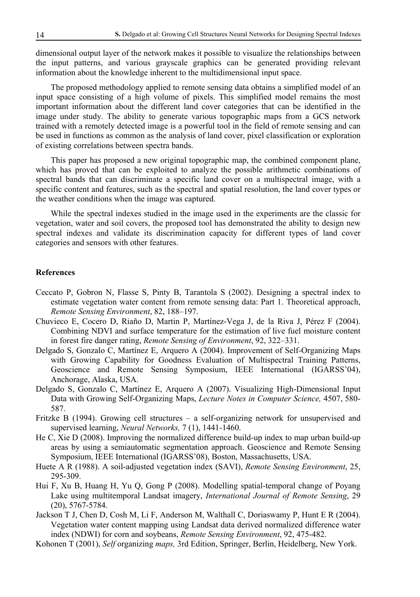dimensional output layer of the network makes it possible to visualize the relationships between the input patterns, and various grayscale graphics can be generated providing relevant information about the knowledge inherent to the multidimensional input space.

The proposed methodology applied to remote sensing data obtains a simplified model of an input space consisting of a high volume of pixels. This simplified model remains the most important information about the different land cover categories that can be identified in the image under study. The ability to generate various topographic maps from a GCS network trained with a remotely detected image is a powerful tool in the field of remote sensing and can be used in functions as common as the analysis of land cover, pixel classification or exploration of existing correlations between spectra bands.

This paper has proposed a new original topographic map, the combined component plane, which has proved that can be exploited to analyze the possible arithmetic combinations of spectral bands that can discriminate a specific land cover on a multispectral image, with a specific content and features, such as the spectral and spatial resolution, the land cover types or the weather conditions when the image was captured.

While the spectral indexes studied in the image used in the experiments are the classic for vegetation, water and soil covers, the proposed tool has demonstrated the ability to design new spectral indexes and validate its discrimination capacity for different types of land cover categories and sensors with other features.

#### **References**

- Ceccato P, Gobron N, Flasse S, Pinty B, Tarantola S (2002). Designing a spectral index to estimate vegetation water content from remote sensing data: Part 1. Theoretical approach, *Remote Sensing Environment*, 82, 188–197.
- Chuvieco E, Cocero D, Riaño D, Martin P, Martínez-Vega J, de la Riva J, Pérez F (2004). Combining NDVI and surface temperature for the estimation of live fuel moisture content in forest fire danger rating, *Remote Sensing of Environment*, 92, 322–331.
- Delgado S, Gonzalo C, Martínez E, Arquero A (2004). Improvement of Self-Organizing Maps with Growing Capability for Goodness Evaluation of Multispectral Training Patterns, Geoscience and Remote Sensing Symposium, IEEE International (IGARSS'04), Anchorage, Alaska, USA.
- Delgado S, Gonzalo C, Martínez E, Arquero A (2007). Visualizing High-Dimensional Input Data with Growing Self-Organizing Maps, *Lecture Notes in Computer Science,* 4507, 580- 587.
- Fritzke B (1994). Growing cell structures a self-organizing network for unsupervised and supervised learning, *Neural Networks,* 7 (1), 1441-1460.
- He C, Xie D (2008). Improving the normalized difference build-up index to map urban build-up areas by using a semiautomatic segmentation approach. Geoscience and Remote Sensing Symposium, IEEE International (IGARSS'08), Boston, Massachusetts, USA.
- Huete A R (1988). A soil-adjusted vegetation index (SAVI), *Remote Sensing Environment*, 25, 295-309.
- Hui F, Xu B, Huang H, Yu Q, Gong P (2008). Modelling spatial-temporal change of Poyang Lake using multitemporal Landsat imagery, *International Journal of Remote Sensing*, 29 (20), 5767-5784.
- Jackson T J, Chen D, Cosh M, Li F, Anderson M, Walthall C, Doriaswamy P, Hunt E R (2004). Vegetation water content mapping using Landsat data derived normalized difference water index (NDWI) for corn and soybeans, *Remote Sensing Environment*, 92, 475-482.
- Kohonen T (2001), *Self* organizing *maps,* 3rd Edition, Springer, Berlin, Heidelberg, New York.